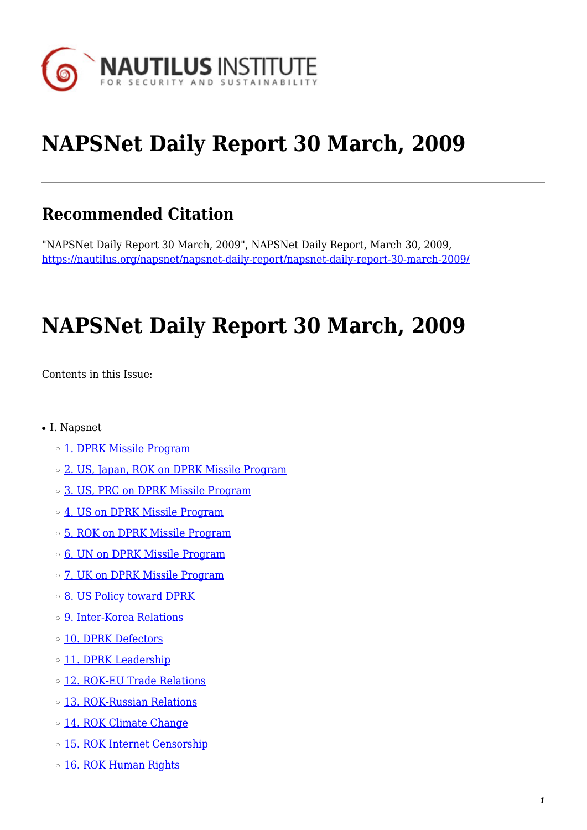

# **NAPSNet Daily Report 30 March, 2009**

# **Recommended Citation**

"NAPSNet Daily Report 30 March, 2009", NAPSNet Daily Report, March 30, 2009, <https://nautilus.org/napsnet/napsnet-daily-report/napsnet-daily-report-30-march-2009/>

# **NAPSNet Daily Report 30 March, 2009**

<span id="page-0-0"></span>Contents in this Issue:

- I. Napsnet
	- ❍ [1. DPRK Missile Program](#page-1-0)
	- $\circ$  [2. US, Japan, ROK on DPRK Missile Program](#page-1-1)
	- ❍ [3. US, PRC on DPRK Missile Program](#page-2-0)
	- o [4. US on DPRK Missile Program](#page-2-1)
	- ❍ [5. ROK on DPRK Missile Program](#page-3-0)
	- ❍ [6. UN on DPRK Missile Program](#page-3-1)
	- $\circ$  [7. UK on DPRK Missile Program](#page-3-2)
	- ❍ [8. US Policy toward DPRK](#page-3-3)
	- ❍ [9. Inter-Korea Relations](#page-4-0)
	- ❍ [10. DPRK Defectors](#page-4-1)
	- o [11. DPRK Leadership](#page-5-0)
	- ❍ [12. ROK-EU Trade Relations](#page-5-1)
	- o [13. ROK-Russian Relations](#page-5-2)
	- o [14. ROK Climate Change](#page-5-3)
	- o [15. ROK Internet Censorship](#page-5-4)
	- o [16. ROK Human Rights](#page-6-0)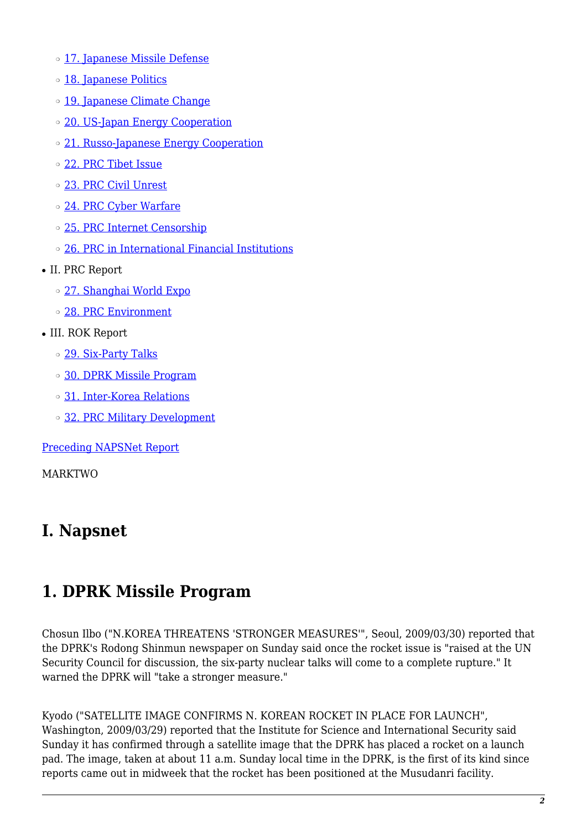- ❍ [17. Japanese Missile Defense](#page-6-1)
- ❍ [18. Japanese Politics](#page-6-2)
- o [19. Japanese Climate Change](#page-7-0)
- o [20. US-Japan Energy Cooperation](#page-7-1)
- o [21. Russo-Japanese Energy Cooperation](#page-7-2)
- ❍ [22. PRC Tibet Issue](#page-8-0)
- ❍ [23. PRC Civil Unrest](#page-8-1)
- o [24. PRC Cyber Warfare](#page-9-0)
- ❍ [25. PRC Internet Censorship](#page-9-1)
- ❍ [26. PRC in International Financial Institutions](#page-9-2)
- II. PRC Report
	- ❍ [27. Shanghai World Expo](#page-9-3)
	- ❍ [28. PRC Environment](#page-10-0)
- III. ROK Report
	- ❍ [29. Six-Party Talks](#page-10-1)
	- ❍ [30. DPRK Missile Program](#page-10-2)
	- ❍ [31. Inter-Korea Relations](#page-10-3)
	- o [32. PRC Military Development](#page-11-0)

[Preceding NAPSNet Report](https://nautilus.org/mailing-lists/napsnet/dr/2009-2/napsnet-daily-report-27-march-2009/)

MARKTWO

# **I. Napsnet**

# <span id="page-1-0"></span>**1. DPRK Missile Program**

Chosun Ilbo ("N.KOREA THREATENS 'STRONGER MEASURES'", Seoul, 2009/03/30) reported that the DPRK's Rodong Shinmun newspaper on Sunday said once the rocket issue is "raised at the UN Security Council for discussion, the six-party nuclear talks will come to a complete rupture." It warned the DPRK will "take a stronger measure."

<span id="page-1-1"></span>Kyodo ("SATELLITE IMAGE CONFIRMS N. KOREAN ROCKET IN PLACE FOR LAUNCH", Washington, 2009/03/29) reported that the Institute for Science and International Security said Sunday it has confirmed through a satellite image that the DPRK has placed a rocket on a launch pad. The image, taken at about 11 a.m. Sunday local time in the DPRK, is the first of its kind since reports came out in midweek that the rocket has been positioned at the Musudanri facility.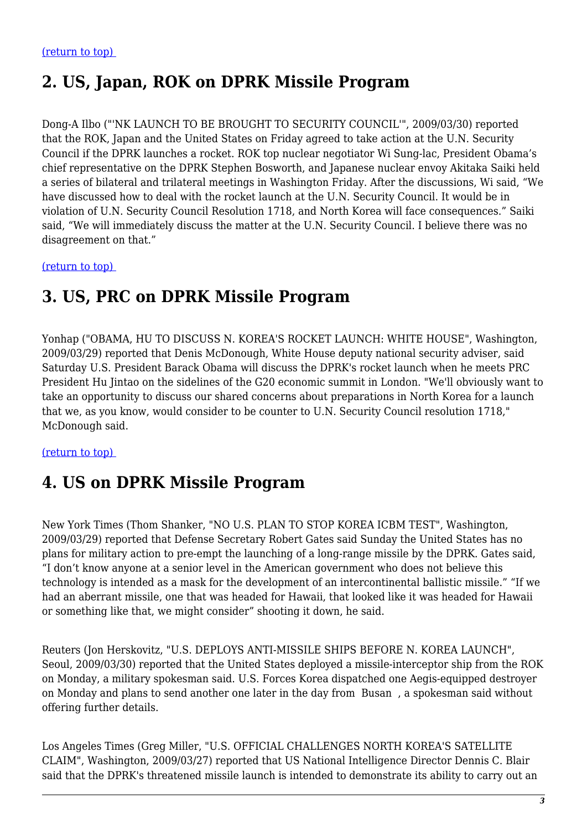# **2. US, Japan, ROK on DPRK Missile Program**

Dong-A Ilbo ("'NK LAUNCH TO BE BROUGHT TO SECURITY COUNCIL'", 2009/03/30) reported that the ROK, Japan and the United States on Friday agreed to take action at the U.N. Security Council if the DPRK launches a rocket. ROK top nuclear negotiator Wi Sung-lac, President Obama's chief representative on the DPRK Stephen Bosworth, and Japanese nuclear envoy Akitaka Saiki held a series of bilateral and trilateral meetings in Washington Friday. After the discussions, Wi said, "We have discussed how to deal with the rocket launch at the U.N. Security Council. It would be in violation of U.N. Security Council Resolution 1718, and North Korea will face consequences." Saiki said, "We will immediately discuss the matter at the U.N. Security Council. I believe there was no disagreement on that."

<span id="page-2-0"></span>[\(return to top\)](#page-0-0) 

### **3. US, PRC on DPRK Missile Program**

Yonhap ("OBAMA, HU TO DISCUSS N. KOREA'S ROCKET LAUNCH: WHITE HOUSE", Washington, 2009/03/29) reported that Denis McDonough, White House deputy national security adviser, said Saturday U.S. President Barack Obama will discuss the DPRK's rocket launch when he meets PRC President Hu Jintao on the sidelines of the G20 economic summit in London. "We'll obviously want to take an opportunity to discuss our shared concerns about preparations in North Korea for a launch that we, as you know, would consider to be counter to U.N. Security Council resolution 1718," McDonough said.

#### <span id="page-2-1"></span>[\(return to top\)](#page-0-0)

# **4. US on DPRK Missile Program**

New York Times (Thom Shanker, "NO U.S. PLAN TO STOP KOREA ICBM TEST", Washington, 2009/03/29) reported that Defense Secretary Robert Gates said Sunday the United States has no plans for military action to pre-empt the launching of a long-range missile by the DPRK. Gates said, "I don't know anyone at a senior level in the American government who does not believe this technology is intended as a mask for the development of an intercontinental ballistic missile." "If we had an aberrant missile, one that was headed for Hawaii, that looked like it was headed for Hawaii or something like that, we might consider" shooting it down, he said.

Reuters (Jon Herskovitz, "U.S. DEPLOYS ANTI-MISSILE SHIPS BEFORE N. KOREA LAUNCH", Seoul, 2009/03/30) reported that the United States deployed a missile-interceptor ship from the ROK on Monday, a military spokesman said. U.S. Forces Korea dispatched one Aegis-equipped destroyer on Monday and plans to send another one later in the day from Busan , a spokesman said without offering further details.

Los Angeles Times (Greg Miller, "U.S. OFFICIAL CHALLENGES NORTH KOREA'S SATELLITE CLAIM", Washington, 2009/03/27) reported that US National Intelligence Director Dennis C. Blair said that the DPRK's threatened missile launch is intended to demonstrate its ability to carry out an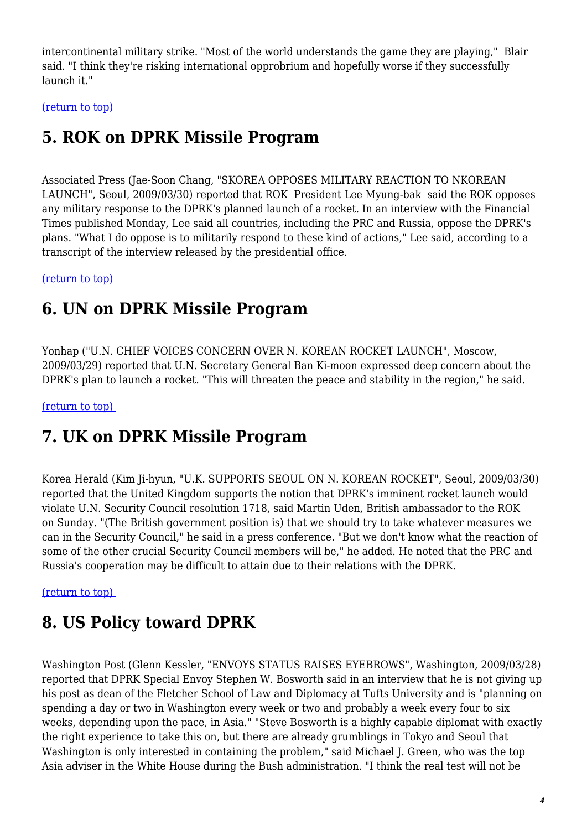intercontinental military strike. "Most of the world understands the game they are playing," Blair said. "I think they're risking international opprobrium and hopefully worse if they successfully launch it."

<span id="page-3-0"></span>[\(return to top\)](#page-0-0) 

# **5. ROK on DPRK Missile Program**

Associated Press (Jae-Soon Chang, "SKOREA OPPOSES MILITARY REACTION TO NKOREAN LAUNCH", Seoul, 2009/03/30) reported that ROK President Lee Myung-bak said the ROK opposes any military response to the DPRK's planned launch of a rocket. In an interview with the Financial Times published Monday, Lee said all countries, including the PRC and Russia, oppose the DPRK's plans. "What I do oppose is to militarily respond to these kind of actions," Lee said, according to a transcript of the interview released by the presidential office.

<span id="page-3-1"></span>[\(return to top\)](#page-0-0) 

### **6. UN on DPRK Missile Program**

Yonhap ("U.N. CHIEF VOICES CONCERN OVER N. KOREAN ROCKET LAUNCH", Moscow, 2009/03/29) reported that U.N. Secretary General Ban Ki-moon expressed deep concern about the DPRK's plan to launch a rocket. "This will threaten the peace and stability in the region," he said.

<span id="page-3-2"></span>[\(return to top\)](#page-0-0) 

### **7. UK on DPRK Missile Program**

Korea Herald (Kim Ji-hyun, "U.K. SUPPORTS SEOUL ON N. KOREAN ROCKET", Seoul, 2009/03/30) reported that the United Kingdom supports the notion that DPRK's imminent rocket launch would violate U.N. Security Council resolution 1718, said Martin Uden, British ambassador to the ROK on Sunday. "(The British government position is) that we should try to take whatever measures we can in the Security Council," he said in a press conference. "But we don't know what the reaction of some of the other crucial Security Council members will be," he added. He noted that the PRC and Russia's cooperation may be difficult to attain due to their relations with the DPRK.

<span id="page-3-3"></span>[\(return to top\)](#page-0-0) 

# **8. US Policy toward DPRK**

Washington Post (Glenn Kessler, "ENVOYS STATUS RAISES EYEBROWS", Washington, 2009/03/28) reported that DPRK Special Envoy Stephen W. Bosworth said in an interview that he is not giving up his post as dean of the Fletcher School of Law and Diplomacy at Tufts University and is "planning on spending a day or two in Washington every week or two and probably a week every four to six weeks, depending upon the pace, in Asia." "Steve Bosworth is a highly capable diplomat with exactly the right experience to take this on, but there are already grumblings in Tokyo and Seoul that Washington is only interested in containing the problem," said Michael J. Green, who was the top Asia adviser in the White House during the Bush administration. "I think the real test will not be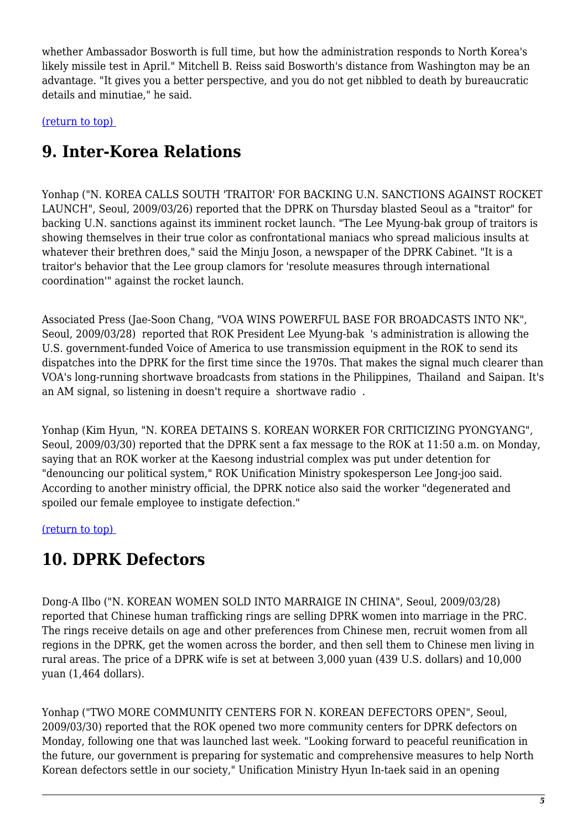whether Ambassador Bosworth is full time, but how the administration responds to North Korea's likely missile test in April." Mitchell B. Reiss said Bosworth's distance from Washington may be an advantage. "It gives you a better perspective, and you do not get nibbled to death by bureaucratic details and minutiae," he said.

<span id="page-4-0"></span>[\(return to top\)](#page-0-0) 

# **9. Inter-Korea Relations**

Yonhap ("N. KOREA CALLS SOUTH 'TRAITOR' FOR BACKING U.N. SANCTIONS AGAINST ROCKET LAUNCH", Seoul, 2009/03/26) reported that the DPRK on Thursday blasted Seoul as a "traitor" for backing U.N. sanctions against its imminent rocket launch. "The Lee Myung-bak group of traitors is showing themselves in their true color as confrontational maniacs who spread malicious insults at whatever their brethren does," said the Minju Joson, a newspaper of the DPRK Cabinet. "It is a traitor's behavior that the Lee group clamors for 'resolute measures through international coordination'" against the rocket launch.

Associated Press (Jae-Soon Chang, "VOA WINS POWERFUL BASE FOR BROADCASTS INTO NK", Seoul, 2009/03/28) reported that ROK President Lee Myung-bak 's administration is allowing the U.S. government-funded Voice of America to use transmission equipment in the ROK to send its dispatches into the DPRK for the first time since the 1970s. That makes the signal much clearer than VOA's long-running shortwave broadcasts from stations in the Philippines, Thailand and Saipan. It's an AM signal, so listening in doesn't require a shortwave radio .

Yonhap (Kim Hyun, "N. KOREA DETAINS S. KOREAN WORKER FOR CRITICIZING PYONGYANG", Seoul, 2009/03/30) reported that the DPRK sent a fax message to the ROK at 11:50 a.m. on Monday, saying that an ROK worker at the Kaesong industrial complex was put under detention for "denouncing our political system," ROK Unification Ministry spokesperson Lee Jong-joo said. According to another ministry official, the DPRK notice also said the worker "degenerated and spoiled our female employee to instigate defection."

<span id="page-4-1"></span>[\(return to top\)](#page-0-0) 

# **10. DPRK Defectors**

Dong-A Ilbo ("N. KOREAN WOMEN SOLD INTO MARRAIGE IN CHINA", Seoul, 2009/03/28) reported that Chinese human trafficking rings are selling DPRK women into marriage in the PRC. The rings receive details on age and other preferences from Chinese men, recruit women from all regions in the DPRK, get the women across the border, and then sell them to Chinese men living in rural areas. The price of a DPRK wife is set at between 3,000 yuan (439 U.S. dollars) and 10,000 yuan (1,464 dollars).

Yonhap ("TWO MORE COMMUNITY CENTERS FOR N. KOREAN DEFECTORS OPEN", Seoul, 2009/03/30) reported that the ROK opened two more community centers for DPRK defectors on Monday, following one that was launched last week. "Looking forward to peaceful reunification in the future, our government is preparing for systematic and comprehensive measures to help North Korean defectors settle in our society," Unification Ministry Hyun In-taek said in an opening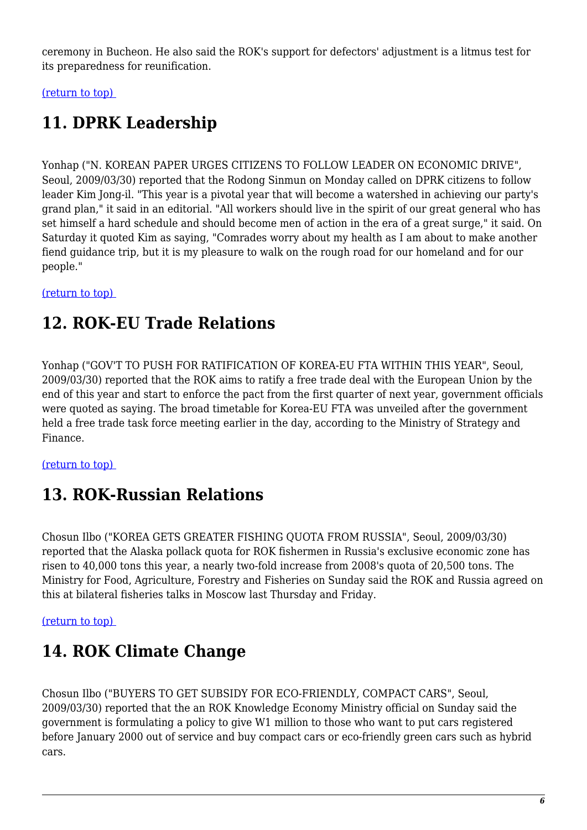ceremony in Bucheon. He also said the ROK's support for defectors' adjustment is a litmus test for its preparedness for reunification.

<span id="page-5-0"></span>[\(return to top\)](#page-0-0) 

# **11. DPRK Leadership**

Yonhap ("N. KOREAN PAPER URGES CITIZENS TO FOLLOW LEADER ON ECONOMIC DRIVE", Seoul, 2009/03/30) reported that the Rodong Sinmun on Monday called on DPRK citizens to follow leader Kim Jong-il. "This year is a pivotal year that will become a watershed in achieving our party's grand plan," it said in an editorial. "All workers should live in the spirit of our great general who has set himself a hard schedule and should become men of action in the era of a great surge," it said. On Saturday it quoted Kim as saying, "Comrades worry about my health as I am about to make another fiend guidance trip, but it is my pleasure to walk on the rough road for our homeland and for our people."

<span id="page-5-1"></span>[\(return to top\)](#page-0-0) 

# **12. ROK-EU Trade Relations**

Yonhap ("GOV'T TO PUSH FOR RATIFICATION OF KOREA-EU FTA WITHIN THIS YEAR", Seoul, 2009/03/30) reported that the ROK aims to ratify a free trade deal with the European Union by the end of this year and start to enforce the pact from the first quarter of next year, government officials were quoted as saying. The broad timetable for Korea-EU FTA was unveiled after the government held a free trade task force meeting earlier in the day, according to the Ministry of Strategy and Finance.

<span id="page-5-2"></span>[\(return to top\)](#page-0-0) 

# **13. ROK-Russian Relations**

Chosun Ilbo ("KOREA GETS GREATER FISHING QUOTA FROM RUSSIA", Seoul, 2009/03/30) reported that the Alaska pollack quota for ROK fishermen in Russia's exclusive economic zone has risen to 40,000 tons this year, a nearly two-fold increase from 2008's quota of 20,500 tons. The Ministry for Food, Agriculture, Forestry and Fisheries on Sunday said the ROK and Russia agreed on this at bilateral fisheries talks in Moscow last Thursday and Friday.

<span id="page-5-3"></span>[\(return to top\)](#page-0-0) 

# **14. ROK Climate Change**

<span id="page-5-4"></span>Chosun Ilbo ("BUYERS TO GET SUBSIDY FOR ECO-FRIENDLY, COMPACT CARS", Seoul, 2009/03/30) reported that the an ROK Knowledge Economy Ministry official on Sunday said the government is formulating a policy to give W1 million to those who want to put cars registered before January 2000 out of service and buy compact cars or eco-friendly green cars such as hybrid cars.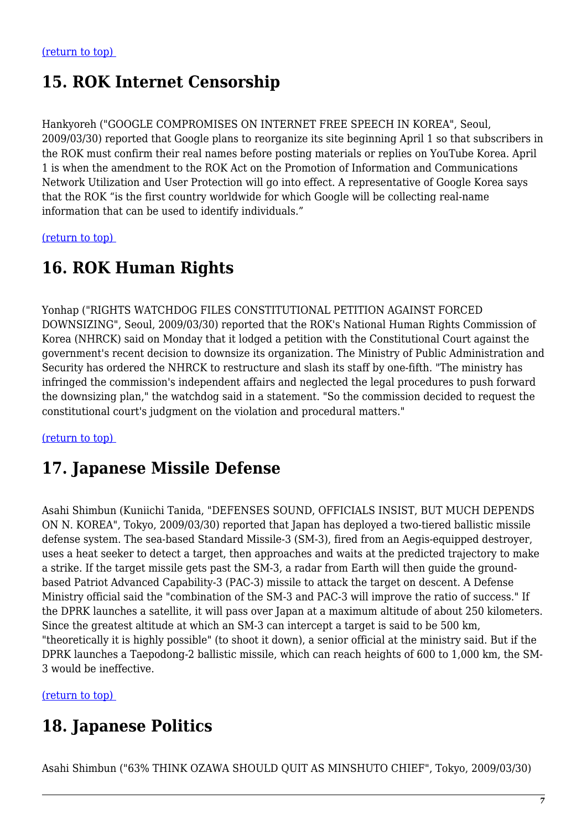# **15. ROK Internet Censorship**

Hankyoreh ("GOOGLE COMPROMISES ON INTERNET FREE SPEECH IN KOREA", Seoul, 2009/03/30) reported that Google plans to reorganize its site beginning April 1 so that subscribers in the ROK must confirm their real names before posting materials or replies on YouTube Korea. April 1 is when the amendment to the ROK Act on the Promotion of Information and Communications Network Utilization and User Protection will go into effect. A representative of Google Korea says that the ROK "is the first country worldwide for which Google will be collecting real-name information that can be used to identify individuals."

<span id="page-6-0"></span>[\(return to top\)](#page-0-0) 

# **16. ROK Human Rights**

Yonhap ("RIGHTS WATCHDOG FILES CONSTITUTIONAL PETITION AGAINST FORCED DOWNSIZING", Seoul, 2009/03/30) reported that the ROK's National Human Rights Commission of Korea (NHRCK) said on Monday that it lodged a petition with the Constitutional Court against the government's recent decision to downsize its organization. The Ministry of Public Administration and Security has ordered the NHRCK to restructure and slash its staff by one-fifth. "The ministry has infringed the commission's independent affairs and neglected the legal procedures to push forward the downsizing plan," the watchdog said in a statement. "So the commission decided to request the constitutional court's judgment on the violation and procedural matters."

<span id="page-6-1"></span>[\(return to top\)](#page-0-0) 

### **17. Japanese Missile Defense**

Asahi Shimbun (Kuniichi Tanida, "DEFENSES SOUND, OFFICIALS INSIST, BUT MUCH DEPENDS ON N. KOREA", Tokyo, 2009/03/30) reported that Japan has deployed a two-tiered ballistic missile defense system. The sea-based Standard Missile-3 (SM-3), fired from an Aegis-equipped destroyer, uses a heat seeker to detect a target, then approaches and waits at the predicted trajectory to make a strike. If the target missile gets past the SM-3, a radar from Earth will then guide the groundbased Patriot Advanced Capability-3 (PAC-3) missile to attack the target on descent. A Defense Ministry official said the "combination of the SM-3 and PAC-3 will improve the ratio of success." If the DPRK launches a satellite, it will pass over Japan at a maximum altitude of about 250 kilometers. Since the greatest altitude at which an SM-3 can intercept a target is said to be 500 km, "theoretically it is highly possible" (to shoot it down), a senior official at the ministry said. But if the DPRK launches a Taepodong-2 ballistic missile, which can reach heights of 600 to 1,000 km, the SM-3 would be ineffective.

<span id="page-6-2"></span>[\(return to top\)](#page-0-0) 

# **18. Japanese Politics**

Asahi Shimbun ("63% THINK OZAWA SHOULD QUIT AS MINSHUTO CHIEF", Tokyo, 2009/03/30)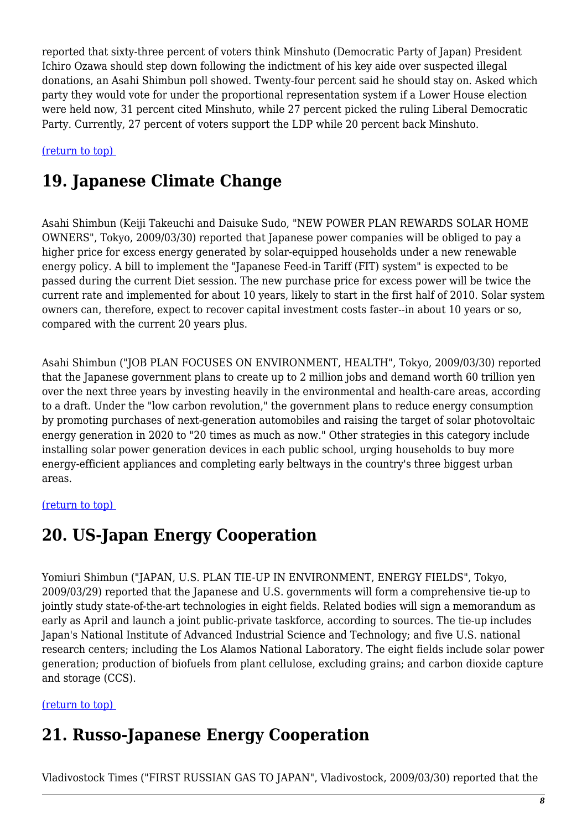reported that sixty-three percent of voters think Minshuto (Democratic Party of Japan) President Ichiro Ozawa should step down following the indictment of his key aide over suspected illegal donations, an Asahi Shimbun poll showed. Twenty-four percent said he should stay on. Asked which party they would vote for under the proportional representation system if a Lower House election were held now, 31 percent cited Minshuto, while 27 percent picked the ruling Liberal Democratic Party. Currently, 27 percent of voters support the LDP while 20 percent back Minshuto.

<span id="page-7-0"></span>[\(return to top\)](#page-0-0) 

# **19. Japanese Climate Change**

Asahi Shimbun (Keiji Takeuchi and Daisuke Sudo, "NEW POWER PLAN REWARDS SOLAR HOME OWNERS", Tokyo, 2009/03/30) reported that Japanese power companies will be obliged to pay a higher price for excess energy generated by solar-equipped households under a new renewable energy policy. A bill to implement the "Japanese Feed-in Tariff (FIT) system" is expected to be passed during the current Diet session. The new purchase price for excess power will be twice the current rate and implemented for about 10 years, likely to start in the first half of 2010. Solar system owners can, therefore, expect to recover capital investment costs faster--in about 10 years or so, compared with the current 20 years plus.

Asahi Shimbun ("JOB PLAN FOCUSES ON ENVIRONMENT, HEALTH", Tokyo, 2009/03/30) reported that the Japanese government plans to create up to 2 million jobs and demand worth 60 trillion yen over the next three years by investing heavily in the environmental and health-care areas, according to a draft. Under the "low carbon revolution," the government plans to reduce energy consumption by promoting purchases of next-generation automobiles and raising the target of solar photovoltaic energy generation in 2020 to "20 times as much as now." Other strategies in this category include installing solar power generation devices in each public school, urging households to buy more energy-efficient appliances and completing early beltways in the country's three biggest urban areas.

#### <span id="page-7-1"></span>[\(return to top\)](#page-0-0)

# **20. US-Japan Energy Cooperation**

Yomiuri Shimbun ("JAPAN, U.S. PLAN TIE-UP IN ENVIRONMENT, ENERGY FIELDS", Tokyo, 2009/03/29) reported that the Japanese and U.S. governments will form a comprehensive tie-up to jointly study state-of-the-art technologies in eight fields. Related bodies will sign a memorandum as early as April and launch a joint public-private taskforce, according to sources. The tie-up includes Japan's National Institute of Advanced Industrial Science and Technology; and five U.S. national research centers; including the Los Alamos National Laboratory. The eight fields include solar power generation; production of biofuels from plant cellulose, excluding grains; and carbon dioxide capture and storage (CCS).

#### <span id="page-7-2"></span>[\(return to top\)](#page-0-0)

### **21. Russo-Japanese Energy Cooperation**

Vladivostock Times ("FIRST RUSSIAN GAS TO JAPAN", Vladivostock, 2009/03/30) reported that the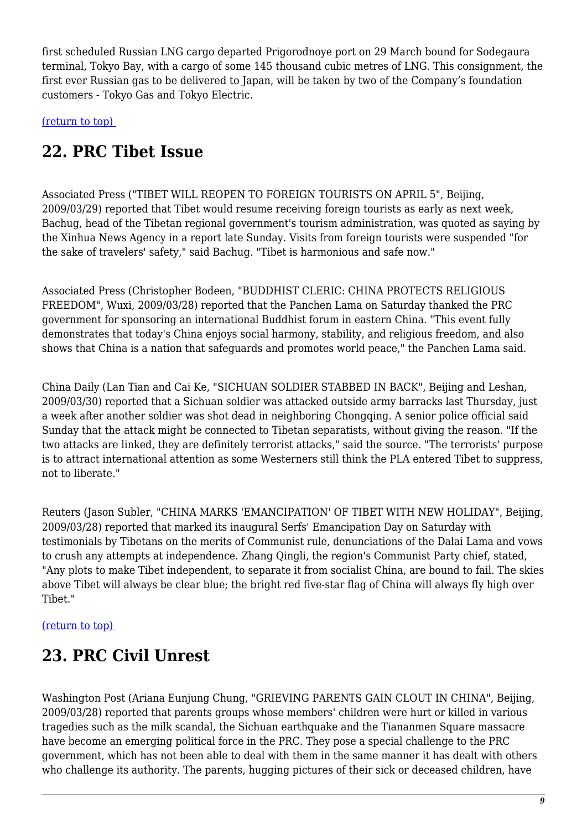first scheduled Russian LNG cargo departed Prigorodnoye port on 29 March bound for Sodegaura terminal, Tokyo Bay, with a cargo of some 145 thousand cubic metres of LNG. This consignment, the first ever Russian gas to be delivered to Japan, will be taken by two of the Company's foundation customers - Tokyo Gas and Tokyo Electric.

<span id="page-8-0"></span>[\(return to top\)](#page-0-0) 

### **22. PRC Tibet Issue**

Associated Press ("TIBET WILL REOPEN TO FOREIGN TOURISTS ON APRIL 5", Beijing, 2009/03/29) reported that Tibet would resume receiving foreign tourists as early as next week, Bachug, head of the Tibetan regional government's tourism administration, was quoted as saying by the Xinhua News Agency in a report late Sunday. Visits from foreign tourists were suspended "for the sake of travelers' safety," said Bachug. "Tibet is harmonious and safe now."

Associated Press (Christopher Bodeen, "BUDDHIST CLERIC: CHINA PROTECTS RELIGIOUS FREEDOM", Wuxi, 2009/03/28) reported that the Panchen Lama on Saturday thanked the PRC government for sponsoring an international Buddhist forum in eastern China. "This event fully demonstrates that today's China enjoys social harmony, stability, and religious freedom, and also shows that China is a nation that safeguards and promotes world peace," the Panchen Lama said.

China Daily (Lan Tian and Cai Ke, "SICHUAN SOLDIER STABBED IN BACK", Beijing and Leshan, 2009/03/30) reported that a Sichuan soldier was attacked outside army barracks last Thursday, just a week after another soldier was shot dead in neighboring Chongqing. A senior police official said Sunday that the attack might be connected to Tibetan separatists, without giving the reason. "If the two attacks are linked, they are definitely terrorist attacks," said the source. "The terrorists' purpose is to attract international attention as some Westerners still think the PLA entered Tibet to suppress, not to liberate."

Reuters (Jason Subler, "CHINA MARKS 'EMANCIPATION' OF TIBET WITH NEW HOLIDAY", Beijing, 2009/03/28) reported that marked its inaugural Serfs' Emancipation Day on Saturday with testimonials by Tibetans on the merits of Communist rule, denunciations of the Dalai Lama and vows to crush any attempts at independence. Zhang Qingli, the region's Communist Party chief, stated, "Any plots to make Tibet independent, to separate it from socialist China, are bound to fail. The skies above Tibet will always be clear blue; the bright red five-star flag of China will always fly high over Tibet."

#### <span id="page-8-1"></span>[\(return to top\)](#page-0-0)

# **23. PRC Civil Unrest**

Washington Post (Ariana Eunjung Chung, "GRIEVING PARENTS GAIN CLOUT IN CHINA", Beijing, 2009/03/28) reported that parents groups whose members' children were hurt or killed in various tragedies such as the milk scandal, the Sichuan earthquake and the Tiananmen Square massacre have become an emerging political force in the PRC. They pose a special challenge to the PRC government, which has not been able to deal with them in the same manner it has dealt with others who challenge its authority. The parents, hugging pictures of their sick or deceased children, have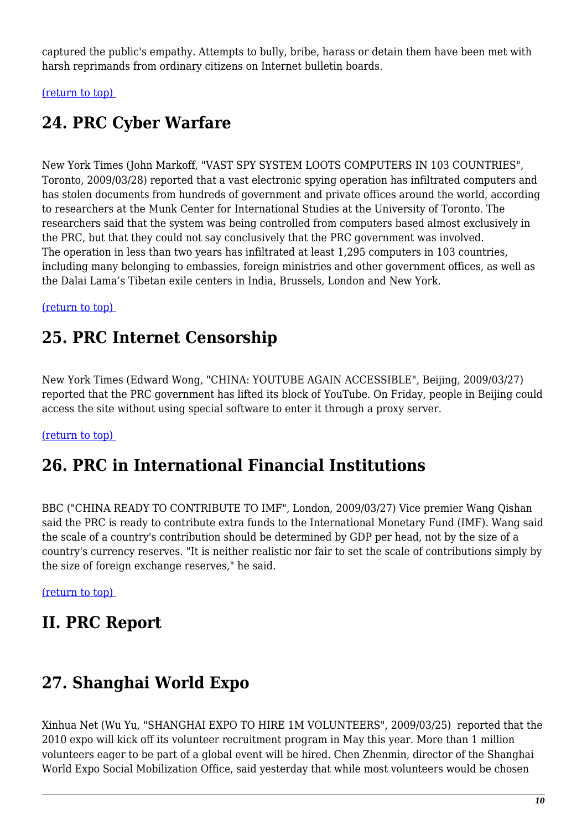captured the public's empathy. Attempts to bully, bribe, harass or detain them have been met with harsh reprimands from ordinary citizens on Internet bulletin boards.

<span id="page-9-0"></span>[\(return to top\)](#page-0-0) 

# **24. PRC Cyber Warfare**

New York Times (John Markoff, "VAST SPY SYSTEM LOOTS COMPUTERS IN 103 COUNTRIES", Toronto, 2009/03/28) reported that a vast electronic spying operation has infiltrated computers and has stolen documents from hundreds of government and private offices around the world, according to researchers at the Munk Center for International Studies at the University of Toronto. The researchers said that the system was being controlled from computers based almost exclusively in the PRC, but that they could not say conclusively that the PRC government was involved. The operation in less than two years has infiltrated at least 1,295 computers in 103 countries, including many belonging to embassies, foreign ministries and other government offices, as well as the Dalai Lama's Tibetan exile centers in India, Brussels, London and New York.

#### <span id="page-9-1"></span>[\(return to top\)](#page-0-0)

### **25. PRC Internet Censorship**

New York Times (Edward Wong, "CHINA: YOUTUBE AGAIN ACCESSIBLE", Beijing, 2009/03/27) reported that the PRC government has lifted its block of YouTube. On Friday, people in Beijing could access the site without using special software to enter it through a proxy server.

#### <span id="page-9-2"></span>[\(return to top\)](#page-0-0)

### **26. PRC in International Financial Institutions**

BBC ("CHINA READY TO CONTRIBUTE TO IMF", London, 2009/03/27) Vice premier Wang Qishan said the PRC is ready to contribute extra funds to the International Monetary Fund (IMF). Wang said the scale of a country's contribution should be determined by GDP per head, not by the size of a country's currency reserves. "It is neither realistic nor fair to set the scale of contributions simply by the size of foreign exchange reserves," he said.

[\(return to top\)](#page-0-0) 

# **II. PRC Report**

# <span id="page-9-3"></span>**27. Shanghai World Expo**

Xinhua Net (Wu Yu, "SHANGHAI EXPO TO HIRE 1M VOLUNTEERS", 2009/03/25) reported that the 2010 expo will kick off its volunteer recruitment program in May this year. More than 1 million volunteers eager to be part of a global event will be hired. Chen Zhenmin, director of the Shanghai World Expo Social Mobilization Office, said yesterday that while most volunteers would be chosen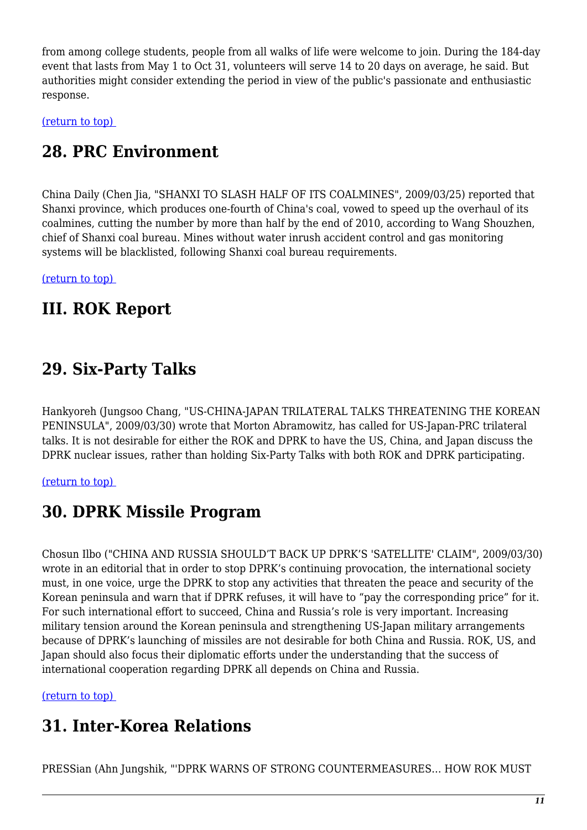from among college students, people from all walks of life were welcome to join. During the 184-day event that lasts from May 1 to Oct 31, volunteers will serve 14 to 20 days on average, he said. But authorities might consider extending the period in view of the public's passionate and enthusiastic response.

<span id="page-10-0"></span>[\(return to top\)](#page-0-0) 

### **28. PRC Environment**

China Daily (Chen Jia, "SHANXI TO SLASH HALF OF ITS COALMINES", 2009/03/25) reported that Shanxi province, which produces one-fourth of China's coal, vowed to speed up the overhaul of its coalmines, cutting the number by more than half by the end of 2010, according to Wang Shouzhen, chief of Shanxi coal bureau. Mines without water inrush accident control and gas monitoring systems will be blacklisted, following Shanxi coal bureau requirements.

[\(return to top\)](#page-0-0) 

### **III. ROK Report**

### <span id="page-10-1"></span>**29. Six-Party Talks**

Hankyoreh (Jungsoo Chang, "US-CHINA-JAPAN TRILATERAL TALKS THREATENING THE KOREAN PENINSULA", 2009/03/30) wrote that Morton Abramowitz, has called for US-Japan-PRC trilateral talks. It is not desirable for either the ROK and DPRK to have the US, China, and Japan discuss the DPRK nuclear issues, rather than holding Six-Party Talks with both ROK and DPRK participating.

<span id="page-10-2"></span>[\(return to top\)](#page-0-0) 

### **30. DPRK Missile Program**

Chosun Ilbo ("CHINA AND RUSSIA SHOULD'T BACK UP DPRK'S 'SATELLITE' CLAIM", 2009/03/30) wrote in an editorial that in order to stop DPRK's continuing provocation, the international society must, in one voice, urge the DPRK to stop any activities that threaten the peace and security of the Korean peninsula and warn that if DPRK refuses, it will have to "pay the corresponding price" for it. For such international effort to succeed, China and Russia's role is very important. Increasing military tension around the Korean peninsula and strengthening US-Japan military arrangements because of DPRK's launching of missiles are not desirable for both China and Russia. ROK, US, and Japan should also focus their diplomatic efforts under the understanding that the success of international cooperation regarding DPRK all depends on China and Russia.

<span id="page-10-3"></span>[\(return to top\)](#page-0-0) 

# **31. Inter-Korea Relations**

PRESSian (Ahn Jungshik, "'DPRK WARNS OF STRONG COUNTERMEASURES… HOW ROK MUST